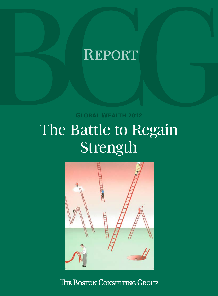# **REPORT**

**Global Wealth 2012**

# The Battle to Regain Strength



THE BOSTON CONSULTING GROUP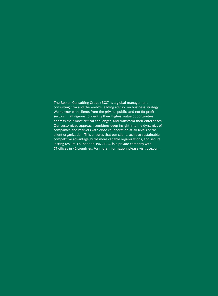The Boston Consulting Group (BCG) is a global management consulting firm and the world's leading advisor on business strategy. We partner with clients from the private, public, and not-for-profit sectors in all regions to identify their highest-value opportunities, address their most critical challenges, and transform their enterprises. Our customized approach combines deep insight into the dynamics of companies and markets with close collaboration at all levels of the client organization. This ensures that our clients achieve sustainable competitive advantage, build more capable organizations, and secure lasting results. Founded in 1963, BCG is a private company with 77 offices in 42 countries. For more information, please visit bcg.com.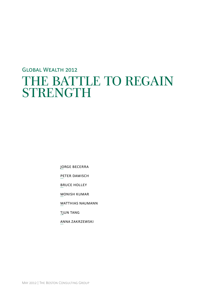# Global Wealth 2012 THE BATTLE TO REGAIN STRENGTH

Jorge Becerra

Peter Damisch

Bruce Holley

Monish Kumar

Matthias Naumann

Tjun Tang

Anna Zakrzewski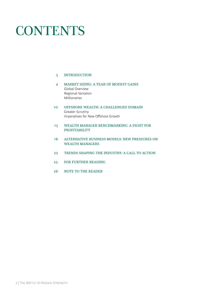# **CONTENTS**

# 3 INTRODUCTION

- 4 MARKET SIZING: A YEAR OF MODEST GAINS Global Overview Regional Variation Millionaires
- 10 OFFSHORE WEALTH: A CHALLENGED DOMAIN Greater Scrutiny Imperatives for New Offshore Growth
- 13 WEALTH MANAGER BENCHMARKING: A FIGHT FOR PROFITABILITY
- 18 ALTERNATIVE BUSINESS MODELS: NEW PRESSURES ON WEALTH MANAGERS
- 22 TRENDS SHAPING THE INDUSTRY: A CALL TO ACTION
- 25 FOR FURTHER READING
- 26 NOTE TO THE READER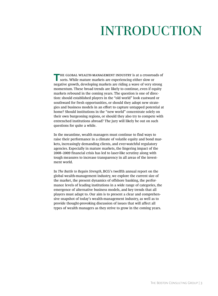# INTRODUCTION

**T**HE GLOBAL WEALTH-MANAGEMENT INDUSTRY is at a crossroads of sorts. While mature markets are experiencing either slow or negative growth, developing markets are riding a wave of very strong momentum. These broad trends are likely to continue, even if equity markets rebound in the coming years. The question is one of direction: should established players in the "old world" look eastward or southward for fresh opportunities, or should they adopt new strategies and business models in an effort to capture untapped potential at home? Should institutions in the "new world" concentrate solely on their own burgeoning regions, or should they also try to compete with entrenched institutions abroad? The jury will likely be out on such questions for quite a while.

In the meantime, wealth managers must continue to find ways to raise their performance in a climate of volatile equity and bond markets, increasingly demanding clients, and ever-watchful regulatory agencies. Especially in mature markets, the lingering impact of the 2008–2009 financial crisis has led to laser-like scrutiny along with tough measures to increase transparency in all areas of the investment world.

In *The Battle to Regain Strength*, BCG's twelfth annual report on the global wealth-management industry, we explore the current size of the market, the present dynamics of offshore banking, the performance levels of leading institutions in a wide range of categories, the emergence of alternative business models, and key trends that all players must adapt to. Our aim is to present a clear and comprehensive snapshot of today's wealth-management industry, as well as to provide thought-provoking discussion of issues that will affect all types of wealth managers as they strive to grow in the coming years.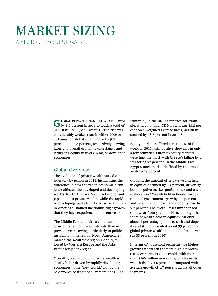# MARKET SIZING A YEAR OF MODEST GAINS

**G** LOBAL PRIVATE FINANCIAL WEALTH grew by 1.9 percent in 2011 to reach a total of \$122.8 trillion.1 (See Exhibit 1.) The rise was considerably weaker than in either 2009 or 2010—when global wealth grew by 9.6 percent and 6.8 percent, respectively—owing largely to overall economic uncertainty and struggling equity markets in major developed economies.

# Global Overview

The evolution of private wealth varied considerably by region in 2011, highlighting the difference in how the year's economic turbulence affected the developed and developing worlds. North America, Western Europe, and Japan all lost private wealth, while the rapidly developing markets in Asia-Pacific and Latin America sustained the double-digit growth that they have experienced in recent years.

The Middle East and Africa continued to grow but at a more moderate rate than in previous years, owing particularly to political instability in the region. North America remained the wealthiest region globally, followed by Western Europe and the Asia-Pacific (ex Japan) region.

Overall, global growth in private wealth is clearly being driven by rapidly developing economies in the "new world," not by the "old world" of traditional, mature ones. (See Exhibit 2.) In the BRIC countries, for example, where nominal GDP growth was 15.5 percent on a weighted-average basis, wealth increased by 18.5 percent in 2011.<sup>2</sup>

Equity markets suffered across most of the world in 2011, with positive showings in only a few countries. Europe's equity markets were hurt the most, with Greece's falling by a staggering 52 percent. In the Middle East, Egypt's stock market declined by an almostas-steep 49 percent.

Globally, the amount of private wealth held in equities declined by 3.4 percent, driven by both negative market performance and asset reallocation.3 Wealth held in bonds (corporate and government) grew by 3.3 percent, and wealth held in cash and deposits rose by 5.2 percent. The overall asset mix changed somewhat from year-end 2010, although the share of wealth held in equities lost only about 2 percentage points to cash and deposits and still represented about 33 percent of global private wealth at the end of 2011 (versus 35 percent in 2010).

In terms of household segments, the highest growth rate was in the ultra-high-net-worth (UHNW) segment (households with more than \$100 million in wealth), which saw its wealth rise by 3.6 percent—compared with average growth of 1.7 percent across all other segments.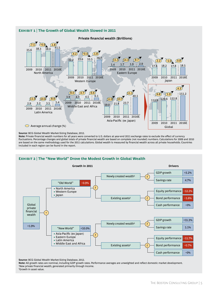

**Source:** BCG Global Wealth Market-Sizing Database, 2012.

**Note:** Private financial wealth numbers for all years were converted to U.S. dollars at year-end 2011 exchange rates to exclude the effect of currency fluctuations. Percentage changes and global totals of private financial wealth are based on complete (not rounded) numbers. Calculations for 2009 and 2010 are based on the same methodology used for the 2011 calculations. Global wealth is measured by financial wealth across all private households. Countries included in each region can be found in the report.

# **Exhibit 2 | The "New World" Drove the Modest Growth in Global Wealth**



**Source:** BCG Global Wealth Market-Sizing Database, 2012.

**Note:** All growth rates are nominal, including GDP growth rates. Performance averages are unweighted and reflect domestic market development. <sup>1</sup>New private financial wealth, generated primarily through income. 2 Growth in asset value.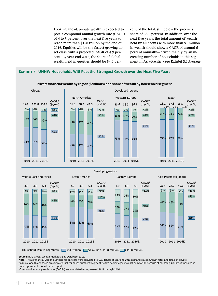Looking ahead, private wealth is expected to post a compound annual growth rate (CAGR) of 4 to 5 percent over the next five years to reach more than \$150 trillion by the end of 2016. Equities will be the fastest-growing asset class, with a projected CAGR of 4.9 percent. By year-end 2016, the share of global wealth held in equities should be 34.0 percent of the total, still below the precrisis share of 38.5 percent. In addition, over the next five years, the total amount of wealth held by all clients with more than \$1 million in wealth should show a CAGR of around 6 percent annually—driven mainly by an increasing number of households in this segment in Asia-Pacific. (See Exhibit 3.) Average

# **Exhibit 3 | UHNW Households Will Post the Strongest Growth over the Next Five Years**



# **Private financialwealth by region (\$trillions) and share of wealth by household segment**

5.4 12% 3.5 60% 28% 12% 3.2 63% 25%  $640<sub>6</sub>$ 24% 12% 2.9 42% 28% 30% 1.9 47% 27% 24% 26% 1.7 50% 26% 45% 46% 10% 4.5 6.1 47% 44%  $9\%$  9% 4.3 48% 44% 23.7 40.1 52% 43% 46% 47% 5% 21.4 7% 54% 41% 5% 2010 2011 2016E 2010 2011 2016E 2010 2011 2016E 2010 2011 2016E  $+5%$  $+8%$  $+8%$  $CAGR<sup>1</sup>$ (5-year)  $+8%$  $+11%$ +9%  $CAGR<sup>1</sup>$ (5-year)  $+7%$  $+9%$  $+12%$  $CAGR<sup>1</sup>$ (5-year)  $+8%$  $+13%$  $+18%$  $CAGR<sup>1</sup>$ (5-year) Household wealth segments  $\sim$   $$1$  million  $\sim$  \$1 million–\$100 million  $\sim$ >\$100 million

**Source:** BCG Global Wealth Market-Sizing Database, 2012.

**Note:** Private financial wealth numbers for all years were converted to U.S. dollars at year-end 2011 exchange rates. Growth rates and totals of private financial wealth are based on complete (not rounded) numbers; segment wealth percentages may not sum to 100 because of rounding. Countries included in each region can be found in the report.

1 Compound annual growth rates (CAGRs) are calculated from year-end 2011 through 2016.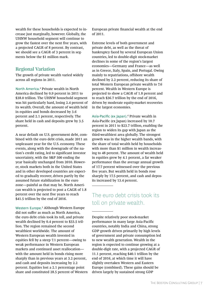wealth for these households is expected to increase just marginally, however. Globally, the UHNW household segment will continue to grow the fastest over the next five years, with a projected CAGR of 8 percent. By contrast, we should see a CAGR of 3 percent in segments below the \$1 million mark.

# Regional Variation

The growth of private wealth varied widely across all regions in 2011.

North America.<sup>4</sup> Private wealth in North America declined by 0.9 percent in 2011 to \$38.0 trillion. The UHNW household segment was hit particularly hard, losing 2.4 percent of its wealth. Overall, the amount of wealth held in equities and bonds decreased by 3.6 percent and 2.1 percent, respectively. The share held in cash and deposits grew by 3.5 percent.

A near default on U.S. government debt, combined with the euro debt crisis, made 2011 an unpleasant year for the U.S. economy. These events, along with the downgrade of the nation's credit rating, led to significant investor uncertainty, with the S&P 500 ending the year basically unchanged from 2010. However, stock markets both in the United States and in other developed countries are expected to gradually recover, driven partly by the assumed future stabilization in the euro zone—painful as that may be. North American wealth is projected to post a CAGR of 1.8 percent over the next five years to reach \$41.5 trillion by the end of 2016.

Western Europe.<sup>5</sup> Although Western Europe did not suffer as much as North America, the euro debt crisis took its toll, and private wealth declined by 0.4 percent to \$33.5 trillion. The region remained the second wealthiest worldwide. The amount of Western European wealth invested in equities fell by a steep 7.1 percent—owing to weak performance in Western European markets and continued asset reallocation with the amount held in bonds rising more sharply than in previous years at 3.2 percent, and cash and deposits increasing by 2.2 percent. Equities lost a 2.1 percentage point share and constituted 28.5 percent of Western European private financial wealth at the end of 2011.

Extreme levels of both government and private debt, as well as the threat of bankruptcy faced by several European Union countries, led to double-digit stock-market declines in some of the region's largest economies—Germany and France—as well as in Greece, Italy, Spain, and Portugal. Owing mainly to repatriations, offshore wealth declined by 2.2 percent, reducing its share of total Western European private wealth to 7.6 percent. Wealth in Western Europe is projected to show a CAGR of 1.8 percent and to reach \$36.7 trillion by the end of 2016, driven by moderate equity-market recoveries in the largest economies.

Asia-Pacific (ex Japan).<sup>6</sup> Private wealth in Asia-Pacific (ex Japan) increased by 10.7 percent in 2011 to \$23.7 trillion, enabling the region to widen its gap with Japan as the third-wealthiest area globally. The strongest growth was in the higher wealth bands, with the share of total wealth held by households with more than \$1 million in wealth increasing to 48 percent. The amount of wealth held in equities grew by 4.1 percent, a far weaker performance than the average annual growth of 17.7 percent witnessed over the previous five years. But wealth held in bonds rose sharply by 17.5 percent, and cash and deposits increased by 13.4 percent.

# The euro debt crisis took its toll on private wealth.

Despite relatively poor stock-market performance in many large Asia-Pacific countries, notably India and China, strong GDP growth driven primarily by high levels of government and private consumption led to new wealth generation. Wealth in the region is expected to continue growing at a double-digit rate, with a projected CAGR of 11.1 percent, reaching \$40.1 trillion by the end of 2016, at which time it will have slightly overtaken Western and Eastern Europe (combined). These gains should be driven largely by sustained strong GDP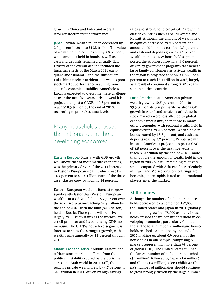growth in China and India and overall stronger stock-market performance.

Japan. Private wealth in Japan decreased by 2.0 percent in 2011 to \$17.8 trillion. The value of wealth held in equities fell by 7.6 percent, while amounts held in bonds as well as in cash and deposits remained virtually flat. Drivers of the overall decline included the lingering effects of the March 2011 earthquake and tsunami—and the subsequent Fukushima nuclear accident—as well as poor stock-market performance resulting from general economic instability. Nonetheless, Japan is expected to overcome these challenges over the next five years. Private wealth is projected to post a CAGR of 0.8 percent to reach \$18.5 trillion by the end of 2016, recovering to pre-Fukushima levels.

Many households crossed the millionaire threshold in developing economies.

Eastern Europe.<sup>7</sup> Russia, with GDP growth well above that of most mature economies, was the primary driver of the 2011 increase in Eastern European wealth, which rose by 14.4 percent to \$1.9 trillion. Each of the three asset classes grew by roughly 14 percent.

Eastern European wealth is forecast to grow significantly faster than Western European wealth—at a CAGR of about 8.7 percent over the next five years—reaching \$2.9 trillion by the end of 2016, with the bulk (\$2.0 trillion) held in Russia. These gains will be driven largely by Russia's status as the world's largest oil producer and its continuing GDP momentum. The UHNW household segment is forecast to show the strongest growth, with wealth rising annually by 12 percent through 2016.

Middle East and Africa.<sup>8</sup> Middle Eastern and African stock markets suffered from the political instability caused by the uprisings across the Arab world in 2011. Still, the region's private wealth grew by 4.7 percent to \$4.5 trillion in 2011, driven by high savings

rates and strong double-digit GDP growth in oil-rich countries such as Saudi Arabia and Kuwait. Although the amount of wealth held in equities decreased by 2.6 percent, the amount held in bonds rose by 13.3 percent and cash and deposits grew by 5.1 percent. Wealth in the UHNW household segment posted the strongest growth, at 9.0 percent, driven by government programs that benefit large family conglomerates. Private wealth in the region is projected to show a CAGR of 6.6 percent to reach \$6.1 trillion in 2016, largely as a result of continued strong GDP expansion in oil-rich countries.

Latin America.<sup>9</sup> Latin American private wealth grew by 10.6 percent in 2011 to \$3.5 trillion, driven primarily by strong GDP growth in Brazil and Mexico. Latin American stock markets were less affected by global economic uncertainty than those in many other economies, with regional wealth held in equities rising by 2.8 percent. Wealth held in bonds soared by 16.6 percent, and cash and deposits rose by 9.2 percent. Private wealth in Latin America is projected to post a CAGR of 8.9 percent over the next five years to reach \$5.4 trillion by the end of 2016—more than double the amount of wealth held in the region in 2006 but still remaining relatively small compared with Asia-Pacific. Particularly in Brazil and Mexico, onshore offerings are becoming more sophisticated as international players enter the market.

# Millionaires

Although the number of millionaire households decreased by a combined 182,000 in the United States and Japan in 2011, globally the number grew by 175,000 as many households crossed the millionaire threshold in developing economies, particularly China and India. The total number of millionaire households reached 12.6 million by the end of 2011, making up about 0.9 percent of the households in our sample (comprising 63 markets representing more than 98 percent of global GDP). The United States still had the largest number of millionaire households (5.1 million), followed by Japan (1.6 million) and China (1.4 million). (See Exhibit 4.) China's number of millionaires should continue to grow strongly, driven by the large number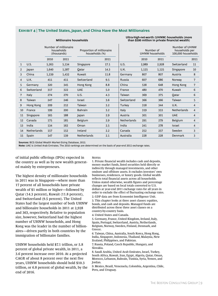# **Exhibit 4 | The United States, Japan, and China Have the Most Millionaires**

#### **Millionaire households**

#### **Ultra-high-net-worth (UHNW) households (more than \$100 million in private financial wealth)**

|                |                    | Number of millionaire<br>households<br>(thousands) |       | Proportion of millionaire<br>households (%) |      |                    | Number of<br>UHNW households |       | Number of UHNW<br>households per<br>100,000 households |                |
|----------------|--------------------|----------------------------------------------------|-------|---------------------------------------------|------|--------------------|------------------------------|-------|--------------------------------------------------------|----------------|
|                |                    | 2010                                               | 2011  |                                             | 2011 |                    | 2010                         | 2011  |                                                        | 2011           |
| 1              | U.S.               | 5,263                                              | 5,134 | Singapore                                   | 17.1 | U.S.               | 2,989                        | 2,928 | Switzerland                                            | 11             |
| $\overline{2}$ | Japan              | 1,640                                              | 1,587 | Qatar                                       | 14.3 | U.K.               | 1,125                        | 1,125 | Singapore                                              | 10             |
| 3              | China              | 1,239                                              | 1,432 | Kuwait                                      | 11.8 | Germany            | 807                          | 807   | Austria                                                | 8              |
| 4              | U.K.               | 411                                                | 411   | Switzerland                                 | 9.5  | Russia             | 607                          | 686   | Norway                                                 | 7              |
| 5              | Germany            | 320                                                | 345   | Hong Kong                                   | 8.8  | China              | 538                          | 648   | Hong Kong                                              | $\overline{7}$ |
| 6              | Switzerland        | 317                                                | 322   | <b>UAE</b>                                  | 5.0  | France             | 480                          | 470   | Kuwait                                                 | 6              |
| 7              | Italy              | 274                                                | 270   | U.S.                                        | 4.3  | Taiwan             | 369                          | 375   | Qatar                                                  | 6              |
| 8              | Taiwan             | 247                                                | 246   | Israel                                      | 3.6  | Switzerland        | 366                          | 366   | Taiwan                                                 | 5              |
| 9              | Hong Kong          | 209                                                | 212   | Taiwan                                      | 3.2  | Turkey             | 318                          | 344   | U.K.                                                   | 4              |
| 10             | France             | 199                                                | 200   | <b>Bahrain</b>                              | 3.2  | Italy              | 319                          | 333   | <b>Netherlands</b>                                     | $\overline{4}$ |
| 11             | Singapore          | 165                                                | 188   | Japan                                       | 2.9  | Austria            | 301                          | 301   | <b>UAE</b>                                             | 4              |
| 12             | Canada             | 175                                                | 185   | Belgium                                     | 2.9  | <b>Netherlands</b> | 291                          | 279   | Belgium                                                | 4              |
| 13             | India              | 134                                                | 162   | Oman                                        | 2.5  | India              | 241                          | 278   | <b>Israel</b>                                          | 4              |
| 14             | <b>Netherlands</b> | 157                                                | 152   | Ireland                                     | 2.2  | Canada             | 252                          | 257   | Sweden                                                 | 3              |
| 15             | Spain              | 147                                                | 139   | <b>Netherlands</b>                          | 2.1  | Australia          | 228                          | 228   | Denmark                                                | 3              |

**Sources:** BCG Global Wealth Market-Sizing Database, 2012.

**Note:** UAE is United Arab Emirates. The 2010 rankings are determined on the basis of year-end 2011 exchange rates.

of initial public offerings (IPOs) expected in the country as well as by new wealth generated mainly by entrepreneurs.

The highest density of millionaire households in 2011 was in Singapore—where more than 17 percent of all households have private wealth of \$1 million or higher—followed by Qatar (14.3 percent), Kuwait (11.8 percent), and Switzerland (9.5 percent). The United States had the largest number of both UHNW and billionaire households in 2011 at 2,928 and 363, respectively. Relative to population size, however, Switzerland had the highest number of UHNW households, and Hong Kong was the leader in the number of billionaires—driven partly in both countries by the immigration of billionaire families.

UHNW households held \$7.1 trillion, or 5.8 percent of global private wealth, in 2011, a 3.6 percent increase over 2010. At a projected CAGR of about 8 percent over the next five years, UHNW households should hold \$10.3 trillion, or 6.8 percent of global wealth, by the end of 2016.

#### **NOTES**

1. Private financial wealth includes cash and deposits, money market funds, listed securities held directly or indirectly through managed investments, and other onshore and offshore assets. It excludes investors' own businesses, residences, or luxury goods. Global wealth reflects total financial assets across all households. Unless stated otherwise, wealth figures and percentage changes are based on local totals converted to U.S. dollars at year-end 2011 exchange rates for all years in order to exclude the effect of fluctuating exchange rates.

2. GDP data are from Economist Intelligence Unit. 3. This chapter looks at three asset classes: equities, bonds, and cash and deposits. Managed funds are distributed across these three asset classes on a country-by-country basis.

4. United States and Canada.

5. Germany, France, United Kingdom, Ireland, Italy, Spain, Portugal, Switzerland, Austria, Netherlands, Belgium, Norway, Sweden, Finland, Denmark, and Greece.

6. Taiwan, China, Australia, South Korea, Hong Kong, India, Singapore, Indonesia, Thailand, Malaysia, New Zealand, Philippines, and Pakistan.

7. Russia, Poland, Czech Republic, Hungary, and Slovakia.

8. Saudi Arabia, United Arab Emirates, Israel, Turkey, South Africa, Kuwait, Iran, Egypt, Algeria, Qatar, Oman, Morocco, Lebanon, Bahrain, Tunisia, Syria, Yemen, and Jordan.

9. Mexico, Brazil, Venezuela, Colombia, Argentina, Chile, Peru, and Uruguay.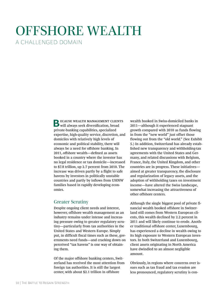# OFFSHORE WEALTH A CHALLENGED DOMAIN

**BECAUSE WEALTH MANAGEMENT CLIENTS**<br>will always seek diversification, broad private-banking capabilities, specialized expertise, high-quality service, discretion, and domiciles with relatively high levels of economic and political stability, there will always be a need for offshore banking. In 2011, offshore wealth—defined as assets booked in a country where the investor has no legal residence or tax domicile—increased to \$7.8 trillion, up 2.7 percent from 2010. The increase was driven partly by a flight to safe havens by investors in politically unstable countries and partly by inflows from UHNW families based in rapidly developing economies.

# Greater Scrutiny

Despite ongoing client needs and interest, however, offshore wealth management as an industry remains under intense and increasing pressure owing to greater regulatory scrutiny—particularly from tax authorities in the United States and Western Europe. Simply put, in difficult fiscal times such as these, governments need funds—and cracking down on perceived "tax havens" is one way of obtaining them.

Of the major offshore banking centers, Switzerland has received the most attention from foreign tax authorities. It is still the largest center, with about \$2.1 trillion in offshore

wealth booked in Swiss-domiciled banks in 2011—although it experienced stagnant growth compared with 2010 as funds flowing in from the "new world" just offset those flowing out from the "old world." (See Exhibit 5.) In addition, Switzerland has already established new transparency and withholding-tax agreements with the United States and Germany, and related discussions with Belgium, France, Italy, the United Kingdom, and other countries are in progress. These initiatives aimed at greater transparency, the disclosure and regularization of legacy assets, and the adoption of withholding taxes on investment income—have altered the Swiss landscape, somewhat increasing the attractiveness of other offshore centers.

Although the single biggest pool of private financial wealth booked offshore in Switzerland still comes from Western European clients, this wealth declined by 2.2 percent in 2011 and will likely continue to erode. Another traditional offshore center, Luxembourg, has experienced a decline in wealth owing to its high exposure to Western European investors. In both Switzerland and Luxembourg, client assets originating in North America have dwindled to an almost negligible amount.

Obviously, in regions where concerns over issues such as tax fraud and tax evasion are less pronounced, regulatory scrutiny is con-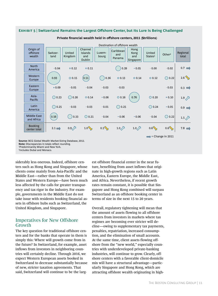



#### **Private financial wealth held in offshore centers, 2011 (\$trillions)**

**Note:** Discrepancies in totals reflect rounding. 1 Predominantly Miami and New York.

2 Includes Dubai and Monaco.

siderably less onerous. Indeed, offshore centers such as Hong Kong and Singapore, whose clients come mainly from Asia-Pacific and the Middle East—rather than from the United States and Western Europe—have been much less affected by the calls for greater transparency and tax rigor in the industry. For example, governments in the Middle East do not take issue with residents booking financial assets in offshore hubs such as Switzerland, the United Kingdom, and Singapore.

# Imperatives for New Offshore Growth

The key question for traditional offshore centers and for the banks that operate in them is simply this: Where will growth come from in the future? In Switzerland, for example, asset inflows from investors in neighboring countries will certainly decline. Through 2016, we expect Western European assets booked in Switzerland to decrease substantially because of new, stricter taxation agreements. That said, Switzerland will continue to be the largest offshore financial center in the near future, benefiting from asset inflows that originate in high-growth regions such as Latin America, Eastern Europe, the Middle East, and Africa. Nevertheless, if recent growth rates remain constant, it is possible that Singapore and Hong Kong combined will surpass Switzerland as an offshore booking center in terms of size in the next 15 to 20 years.

Overall, regulatory tightening will mean that the amount of assets flowing to all offshore centers from investors in markets where tax regimes are becoming ever stricter will decline—owing to supplementary tax payments, penalties, repatriation, increased consumption, and the elimination of small accounts. At the same time, client assets flowing offshore from the "new world," especially countries with underdeveloped private-banking industries, will continue to grow. Clearly, offshore centers with a favorable client-domicile mix will have a structural advantage—particularly Singapore and Hong Kong, which are attracting offshore wealth originating in high-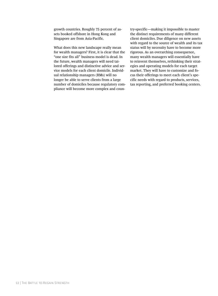growth countries. Roughly 75 percent of assets booked offshore in Hong Kong and Singapore are from Asia-Pacific.

What does this new landscape really mean for wealth managers? First, it is clear that the "one size fits all" business model is dead. In the future, wealth managers will need tailored offerings and distinctive advice and service models for each client domicile. Individual relationship managers (RMs) will no longer be able to serve clients from a large number of domiciles because regulatory compliance will become more complex and country-specific—making it impossible to master the distinct requirements of many different client domiciles. Due diligence on new assets with regard to the source of wealth and its tax status will by necessity have to become more rigorous. As an overarching consequence, many wealth managers will essentially have to reinvent themselves, rethinking their strategies and operating models for each target market. They will have to customize and focus their offerings to meet each client's specific needs with regard to products, services, tax reporting, and preferred booking centers.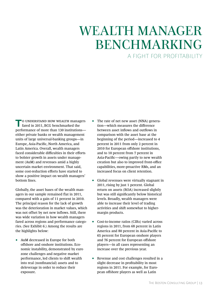# WEALTH MANAGER BENCHMARKING A FIGHT FOR PROFITABILITY

**TO UNDERSTAND HOW WEALTH managers** fared in 2011, BCG benchmarked the performance of more than 130 institutions either private banks or wealth management units of large universal-banking groups—in Europe, Asia-Pacific, North America, and Latin America. Overall, wealth managers faced considerable difficulties in their efforts to bolster growth in assets under management (AuM) and revenues amid a highly uncertain market environment. That said, some cost-reduction efforts have started to show a positive impact on wealth managers' bottom lines.

Globally, the asset bases of the wealth managers in our sample remained flat in 2011, compared with a gain of 11 percent in 2010. The principal reason for the lack of growth was the deterioration in market values, which was not offset by net new inflows. Still, there was wide variation in how wealth managers fared across regions and performance categories. (See Exhibit 6.) Among the results are the highlights below:

• AuM decreased in Europe for both offshore and onshore institutions. Economic instability, demonstrated by euro zone challenges and negative market performance, led clients to shift wealth into real (nonfinancial) assets and to deleverage in order to reduce their exposure.

- The rate of net new asset (NNA) generation—which measures the difference between asset inflows and outflows in comparison with the asset base at the beginning of the period—increased to 4 percent in 2011 from only 2 percent in 2010 for European offshore institutions, and to 10 percent from 7 percent in Asia-Pacific—owing partly to new wealth creation but also to improved front-office capabilities, more-proactive RMs, and an increased focus on client retention.
- Global revenues were virtually stagnant in 2011, rising by just 1 percent. Global return on assets (ROA) increased slightly but was still significantly below historical levels. Broadly, wealth managers were able to increase their level of trading activities and shift somewhat to highermargin products.
- Cost-to-income ratios (CIRs) varied across regions in 2011, from 68 percent in Latin America and 80 percent in Asia-Pacific to 65 percent for European onshore players and 76 percent for European offshore players—in all cases representing an increase over the previous year.
- Revenue and cost challenges resulted in a slight decrease in profitability in most regions in 2011. For example, for European offshore players as well as Latin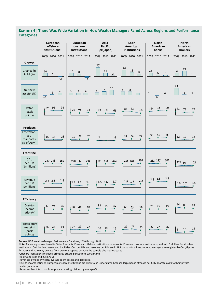# **Exhibit 6 | There Was Wide Variation in How Wealth Managers Fared Across Regions and Performance Categories**

|                                                                   | European<br>offshore<br>institutions <sup>1</sup> | <b>European</b><br>onshore<br>institutions    | Asia-<br><b>Pacific</b><br>(ex Japan) | Latin<br>American<br>institutions | <b>North</b><br>American<br>banks        | <b>North</b><br>American<br>brokers |  |
|-------------------------------------------------------------------|---------------------------------------------------|-----------------------------------------------|---------------------------------------|-----------------------------------|------------------------------------------|-------------------------------------|--|
|                                                                   | 2009 2010 2011                                    | 2009 2010 2011                                | 2009 2010 2011                        | 2009 2010 2011                    | 2009 2010 2011                           | 2009 2010 2011                      |  |
| Growth<br>Change in<br>AuM (%)                                    | 10<br>$\mathbf{1}$<br>$\overline{-2}$             | 12<br>8<br>$\overline{-3}$                    | 27<br>11<br>$\overline{2}$            | 20<br>13<br>$9\,$                 | 13<br>$\,6$<br>$\overline{5}$            | 19<br>13<br>$\mathbf{1}$            |  |
| Net new<br>assets <sup>2</sup> (%)                                | 4<br>$\frac{2}{2}$<br>$-1$                        | $\frac{3}{\sqrt{2}}$<br>3<br>$\frac{4}{\Box}$ | 10<br>$\overline{7}$<br>5             | 8<br>8<br>$\sf 5$                 | $\mathbf{1}$<br>$\mathbf 0$<br>$\pmb{0}$ | 13<br>$\mathbf{1}$<br>$\mathbf{1}$  |  |
| ROA <sup>3</sup><br>(basis<br>points)                             | 95<br>94<br>87                                    | 73<br>73<br>71                                | 73<br>69<br>65                        | 83<br>83<br>68                    | 92<br>90<br>84                           | 83<br>78<br>79<br>۰                 |  |
| <b>Products</b><br>Discretion-<br>ary<br>mandates<br>(% of AuM)   | 15 15<br>16                                       | 22<br>23<br>15                                | $\overline{2}$<br>6<br>$\overline{4}$ | 24<br>18<br>22<br>۰               | 45<br>36 41                              | 12<br>12<br>12                      |  |
| <b>Frontline</b><br>CAL<br>per RM<br>(\$millions)                 | 249 248<br>259                                    | 234<br>220 184                                | 273<br>226 238                        | 297<br>255 207                    | 263 287<br>301                           | 129 97<br>105<br>Ð                  |  |
| Revenue<br>per RM<br>(\$millions)                                 | 2.4<br>$2.2$ 2.3                                  | 1.5<br>$1.4$ 1.2                              | 1.7<br>$1.5$ 1.6                      | 2.2<br>$1.9$ 1.7                  | 2.7<br>$2.3$ 2.6                         | $0.8\quad 0.7$<br>0.8               |  |
| <b>Efficiency</b><br>Cost-to-<br>income<br>ratio <sup>4</sup> (%) | 74<br>76<br>74                                    | 68<br>62<br>65<br>۰                           | 81<br>80<br>75<br>$\bullet$           | 68<br>65<br>63<br>Ð               | 75<br>75<br>73<br>$\bullet$              | 94<br>88<br>83                      |  |
| Pretax profit<br>margin <sup>5</sup><br>(basis<br>points)         | 27<br>26<br>23<br>۰                               | 29<br>27<br>27                                | 18<br>$16\,$<br>15<br>÷               | 33<br>29<br>23<br>۰               | 27<br>26<br>27<br>٠                      | 14<br>10<br>$\sqrt{5}$              |  |

**Source:** BCG Wealth-Manager Performance Database, 2010 through 2012.

**Note:** This analysis was based in Swiss francs for European offshore institutions, in euros for European onshore institutions, and in U.S. dollars for all other institutions. CAL is client assets and liabilities. CAL per RM and revenue per RM are in U.S. dollars for all institutions; averages are weighted by CAL; figures for 2009 and 2010 may deviate from previous reports because the sample size has increased.

1 Offshore institutions included primarily private banks from Switzerland.

2 Relative to year-end 2010 AuM.

3 Revenues divided by yearly average client assets and liabilities.

4 Cost-to-income ratios of European onshore institutions are likely to be understated because large banks often do not fully allocate costs to their privatebanking operations.

5 Revenues less total costs from private banking, divided by average CAL.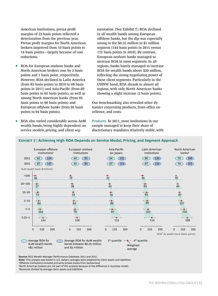American institutions, pretax profit margins of 23 basis points reflected a deterioration from the previous year. Pretax profit margins for North American brokers improved from 10 basis points to 14 basis points—largely because of cost reductions.

- ROA for European onshore banks and North American brokers rose by 2 basis points and 1 basis point, respectively. However, ROA declined in Latin America (from 83 basis points in 2010 to 68 basis points in 2011) and Asia-Pacific (from 69 basis points to 65 basis points), as well as among North American banks (from 92 basis points to 90 basis points) and European offshore banks (from 95 basis points to 94 basis points).
- ROA also varied considerably across AuM wealth bands, being highly dependent on service models, pricing, and client seg-

mentation. (See Exhibit 7.) ROA declined in all wealth bands among European offshore banks, but the dip was especially strong in the \$0.25 million to \$1 million segment (144 basis points in 2011 versus 172 basis points in 2010). By contrast, European onshore banks managed to increase ROA in most segments. In all regions, banks barely managed to increase ROA for wealth bands above \$20 million, reflecting the strong negotiating power of these client segments. Particularly in the UHNW band, ROA shrank in almost all regions, with only North American banks showing a slight increase (2 basis points).

Our benchmarking also revealed other dynamics concerning products, front-office excellence, and costs.

Products. In 2011, most institutions in our sample managed to keep their share of discretionary mandates relatively stable, with



# **Exhibit 7 | Achieving High ROA Depends on Service Model, Pricing, and Segment Approach**

**Source:** BCG Wealth Manager Performance Database, 2011 and 2012.

**Note:** This analysis was based in U.S. dollars; averages were weighted by client assets and liabilities.

2 North American brokers are not part of this analysis because of the difference in business model.

3 Revenues divided by average client assets and liabilities.

<sup>1</sup> Offshore institutions included primarily private banks from Switzerland.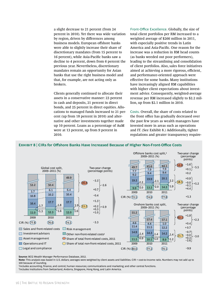a slight decrease to 21 percent (from 24 percent in 2010). Yet there was wide variation by region, driven by differences among business models. European offshore banks were able to slightly increase their share of discretionary mandates (from 15 percent to 16 percent), while Asia-Pacific banks saw a decline to 4 percent, down from 6 percent the previous year. Nevertheless, discretionary mandates remain an opportunity for Asian banks that use the right business model and that, for example, are not acting only as brokers.

Clients generally continued to allocate their assets in a conservative manner: 23 percent in cash and deposits, 21 percent in direct bonds, and 25 percent in direct equities. Allocations to managed funds increased to 21 percent (up from 18 percent in 2010) and alternative and other investments together made up 10 percent. Loans as a percentage of AuM were at 13 percent, up from 9 percent in 2010.

Front-Office Excellence. Globally, the size of total client portfolios per RM increased to a weighted average of \$266 million in 2011, with especially positive trends in Latin America and Asia-Pacific. One reason for the increase was a reduction in RM head counts (as banks weeded out poor performers), leading to the streamlining and consolidation of client portfolios. Also, sales force initiatives aimed at achieving a more rigorous, efficient, and performance-oriented approach were effective for some banks. Many institutions have increasingly aligned RM capabilities with higher client expectations about investment advice. Consequently, weighted-average revenue per RM increased slightly to \$2.2 million, up from \$2.1 million in 2010.

Costs. Overall, the share of costs related to the front office has gradually decreased over the past few years as wealth managers have invested more in areas such as operations and IT. (See Exhibit 8.) Additionally, tighter regulations and greater transparency require-



# **Exhibit 8 | CIRs for Offshore Banks Have Increased Because of Higher Non-Front-Office Costs**

**Source:** BCG Wealth Manager Performance Database, 2012.

**Note:** This analysis was based in U.S. dollars; averages were weighted by client assets and liabilities. CIR = cost-to-income ratio. Numbers may not add up to 100 because of rounding.

1 Includes accounting, finance, and control; human resources; communications and marketing; and other central functions. 2 Includes institutions from Switzerland, Andorra, Singapore, Hong Kong, and Latin America.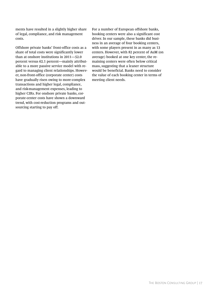ments have resulted in a slightly higher share of legal, compliance, and risk management costs.

Offshore private banks' front-office costs as a share of total costs were significantly lower than at onshore institutions in 2011—52.0 percent versus 62.1 percent—mainly attributable to a more passive service model with regard to managing client relationships. However, non-front-office (corporate center) costs have gradually risen owing to more-complex transactions and higher legal, compliance, and risk-management expenses, leading to higher CIRs. For onshore private banks, corporate-center costs have shown a downward trend, with cost-reduction programs and outsourcing starting to pay off.

For a number of European offshore banks, booking centers were also a significant cost driver. In our sample, these banks did business in an average of four booking centers, with some players present in as many as 13 centers. However, with 82 percent of AuM (on average) booked at one key center, the remaining centers were often below critical mass, suggesting that a leaner structure would be beneficial. Banks need to consider the value of each booking center in terms of meeting client needs.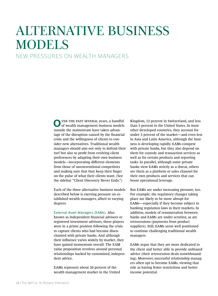# ALTERNATIVE BUSINESS MODELS

# NEW PRESSURES ON WEALTH MANAGERS

O VER THE PAST SEVERAL years, a handful of wealth management business models outside the mainstream have taken advantage of the disruption caused by the financial crisis and the willingness of clients to consider new alternatives. Traditional wealth managers should aim not only to defend their turf but also to profit from evolving client preferences by adapting their own business models—incorporating different elements from those of unconventional competitors and making sure that they keep their finger on the pulse of what their clients want. (See the sidebar "Client Discovery Never Ends.")

Each of the three alternative business models described below is exerting pressure on established wealth managers, albeit to varying degrees.

External Asset Managers (EAMs). Also known as independent financial advisors or registered investment advisors, these players were in a prime position following the crisis to capture clients who had become disenchanted with private banks. And although their influence varies widely by market, they have gained momentum overall. The EAM value proposition revolves around personal relationships backed by customized, independent advice.

EAMs represent about 20 percent of the wealth management market in the United Kingdom, 13 percent in Switzerland, and less than 5 percent in the United States. In most other developed countries, they account for under 3 percent of the market—and even less in Asia and Latin America, although the business is developing rapidly. EAMs compete with private banks, but they also depend on them for custody and transaction services as well as for certain products and reporting tasks. In parallel, although some private banks view EAMs strictly as a threat, others see them as a platform or sales channel for their own products and services that can boost operational leverage.

But EAMs are under increasing pressure, too. For example, the regulatory changes taking place are likely to be more abrupt for EAMs—especially if they become subject to banking regulation laws in their markets. In addition, models of remuneration between banks and EAMs are under scrutiny, as are retrocessions (payments from product suppliers). Still, EAMs seem well positioned to continue challenging traditional wealth managers.

EAMs argue that they are more dedicated to the client and better able to provide unbiased advice (their retrocession deals notwithstanding). Moreover, successful relationship managers often opt to become EAMs, viewing that role as having fewer restrictions and better income potential.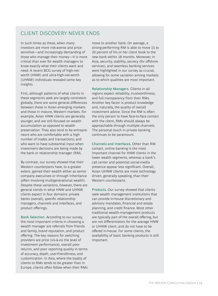# CLIENT DISCOVERY NEVER ENDS

In such times as these, when many investors are more risk-averse and pricesensitive—and increasingly demanding of those who manage their money—it is more critical than ever for wealth managers to know exactly what their clients want and need. A recent BCG survey of high-networth (HNW) and ultra-high-net-worth (UHNW) individuals revealed some key insights.

First, although patterns of what clients in these segments seek are largely consistent globally, there are some general differences between those in Asian emerging markets and those in mature, Western markets. For example, Asian HNW clients are generally younger, and are still focused on wealth accumulation as opposed to wealth preservation. They also tend to be entrepreneurs who are comfortable with a high number of trades and transactions, and who want to have substantial input when investment decisions are being made by the bank or relationship manager (RM).

By contrast, our survey showed that their Western counterparts have, to a greater extent, gained their wealth either as senior company executives or through inheritance (often involving multigenerational wealth). Despite these variations, however, there are general trends in what HNW and UHNW clients expect in four domains: private banks (overall), specific relationship managers, channels and interfaces, and product offerings.

Bank Selection. According to our survey, the most important criteria in choosing a wealth manager are referrals from friends and family, brand reputation, and product offering. The key reasons for switching providers are price (vis-à-vis the level of investment performance), overall poor returns, and poor reporting quality in terms of accuracy, depth, user-friendliness, and customization. In Asia, where the loyalty of clients to RMs tends to be greater than in Europe, clients often follow when their RMs

move to another bank. On average, a strong-performing RM is able to move 15 to 20 percent of his or her client book to the new bank within 18 months. Moreover, in Asia, security, stability, secrecy (for offshore services), and seamless banking services were highlighted in our survey as crucial, allowing for some variation among markets as to which qualities are most important.

Relationship Managers. Clients in all regions expect reliability, trustworthiness, and full transparency from their RMs. Another key factor is product knowledge and, naturally, the quality of overall investment advice. Since the RM is often the only person to have face-to-face contact with the client, RMs should always be approachable through multiple channels. The personal touch in private banking continues to be paramount.

Channels and Interfaces. Other than RM contact, online banking is the most important channel for HNW clients in the lower wealth segments, whereas a bank's call center and potential social-media presence appear less significant. Overall, Asian UHNW clients are more technology driven, generally speaking, than their Western counterparts.

Products. Our survey showed that clients seek wealth management institutions that can provide in-house discretionary and advisory mandates, financial and estate planning, and credit finance. Most other traditional wealth-management products are typically part of the overall offering, but are not differentiators for the average HNW or UHNW client, and do not have to be offered in-house. For some clients, the availability of basic banking products is still important.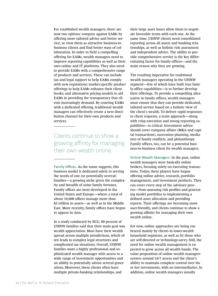For established wealth managers, there are now two options: compete against EAMs by offering more tailored advice and better service, or view them as attractive business-tobusiness clients and find better ways of collaboration. In order to field a compelling offering for EAMs, wealth managers need to improve reporting capabilities as well as their own online and IT platforms. They also need to provide EAMs with a comprehensive range of products and services. These can include tax and legal support to help EAMs comply with new regulations; market-specific product offerings to help EAMs enhance their client books; and alternative pricing models to aid EAMs in providing the transparency that clients increasingly demand. By courting EAMs with a dedicated offering, traditional wealth managers can effectively create a new distribution channel for their own products and services.

Clients continue to show a growing affinity for managing their own wealth online.

Family Offices. As the name suggests, this business model is dedicated solely to serving the needs of one (or potentially several) families—a growing niche given the complexity and breadth of some family fortunes. Family offices are most developed in the United States and Europe—where a total of about 10,000 offices manage more than \$5 trillion in assets—as well as in the Middle East. More recently, family offices have begun to appear in Asia.

In a study conducted by BCG, 80 percent of UHNW families said that their main goal was wealth appreciation. Most have their wealth spread across multiple jurisdictions, which often leads to complex legal structures and complicated tax situations. Overall, UHNW families want a highly professional and sophisticated wealth manager with access to a wide range of investment opportunities and an ability to potentially advise several generations. Moreover, these clients often have multiple private-banking relationships, and

their large asset bases allow them to negotiate favorable terms with each one. At the same time, UHNW clients need consolidated reporting across all assets and banking relationships, as well as holistic risk assessment and independent advice. The ability to provide comprehensive service is the key differentiating factor for family offices—and the main reason why they are growing.

The resulting imperative for traditional wealth managers operating in the UHNW segment—few of which have built true family-office capabilities—is to further develop their offerings. To provide a compelling alternative to family offices, wealth managers must ensure that they can provide dedicated, tailored service based on a holistic view of the client's wealth. To deliver rapid responses to client requests, a team approach—along with crisp execution and strong reporting capabilities—is critical. Investment advice should cover company affairs (M&A and capital transactions), succession planning, mediation of family conflicts, and philanthropy. Family offices, too, can be a potential business-to-business client for wealth managers.

Online Wealth Managers. In the past, online wealth managers were basically online brokers, focusing solely on executing transactions. Today, these players have begun offering online advice, research, portfolio management, and investment products. They can cover every step of the advisory process—from assessing risk profiles and generating model portfolios to implementing a defined asset allocation and providing reports. Their offerings are becoming more user-friendly, and clients continue to show a growing affinity for managing their own wealth online.

For now, online approaches are being embraced mainly by clients in lower-wealth household segments, as well as by those who are self-directed or technology-savvy. Still, the need for online wealth management is expected to grow across all wealth bands. The value proposition of online wealth managers centers around 24-7 access and the client's ability to maintain complete control over his or her investments, with no intermediaries. In addition, online wealth managers usually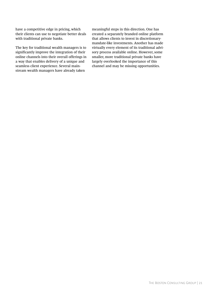have a competitive edge in pricing, which their clients can use to negotiate better deals with traditional private banks.

The key for traditional wealth managers is to significantly improve the integration of their online channels into their overall offerings in a way that enables delivery of a unique and seamless client experience. Several mainstream wealth managers have already taken

meaningful steps in this direction. One has created a separately branded online platform that allows clients to invest in discretionarymandate-like investments. Another has made virtually every element of its traditional advisory process available online. However, some smaller, more traditional private banks have largely overlooked the importance of this channel and may be missing opportunities.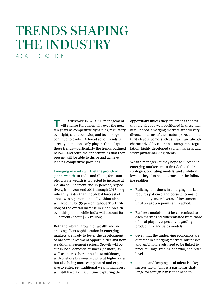# TRENDS SHAPING THE INDUSTRY A CALL TO ACTION

**THE LANDSCAPE IN WEALTH management** will change fundamentally over the next ten years as competitive dynamics, regulatory oversight, client behavior, and technology continue to evolve. A broad set of trends is already in motion. Only players that adapt to these trends—particularly the trends outlined below—and seize the opportunities that they present will be able to thrive and achieve leading competitive positions.

### Emerging markets will fuel the growth of

global wealth. In India and China, for example, private wealth is projected to increase at CAGRs of 19 percent and 15 percent, respectively, from year-end 2011 through 2016—significantly faster than the global forecast of about 4 to 5 percent annually. China alone will account for 35 percent (about \$10.1 trillion) of the overall increase in global wealth over this period, while India will account for 10 percent (about \$2.7 trillion).

Both the vibrant growth of wealth and increasing client sophistication in emerging markets are likely to foster the development of onshore investment opportunities and new wealth-management sectors. Growth will occur in local domestic business (onshore) as well as in cross-border business (offshore), with onshore business growing at higher rates but also being more complicated and expensive to enter. Yet traditional wealth managers will still have a difficult time capturing the

opportunity unless they are among the few that are already well positioned in these markets. Indeed, emerging markets are still very diverse in terms of their nature, size, and maturity levels. Some, such as Brazil, are already characterized by clear and transparent regulation, highly developed capital markets, and savvy private-banking clients.

Wealth managers, if they hope to succeed in emerging markets, must first define their strategies, operating models, and ambition levels. They also need to consider the following realities:

- Building a business in emerging markets requires patience and persistence—and potentially several years of investment until breakeven points are reached.
- Business models must be customized to each market and differentiated from those of local players, especially regarding product mix and sales models.
- Given that the underlying economics are different in emerging markets, businesses and ambition levels need to be linked to product usage, trading behavior, and price levels.
- Finding and keeping local talent is a key success factor. This is a particular challenge for foreign banks that need to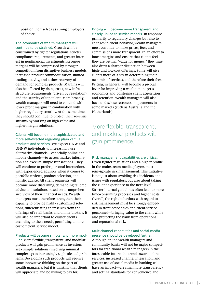position themselves as strong employers of choice.

The economics of wealth managers will continue to be strained. Growth will be constrained by tighter regulations, stricter compliance requirements, and greater interest in nonfinancial investments. Revenue margins will be compressed by stronger competition from disruptive business models, increased product commoditization, limited trading activity, and a slow recovery of demand for complex products. Margins will also be affected by rising costs, new infrastructure requirements (driven by regulation), and the scarcity of top talent. More broadly, wealth managers will need to contend with lower profit margins in combination with higher regulatory scrutiny. At the same time, they should continue to protect their revenue streams by working on high-value and higher-margin solutions.

Clients will become more sophisticated and more self-directed regarding plain vanilla products and services. We expect HNW and UHNW individuals to increasingly use alternative channels—especially online and mobile channels—to access market information and execute simple transactions. They will continue to prefer personal interactions with experienced advisors when it comes to portfolio reviews, product selection, and holistic advice. All client segments will become more discerning, demanding tailored advice and solutions based on a comprehensive view of their financial needs. Wealth managers must therefore strengthen their capacity to provide highly customized solutions, differentiating themselves from the offerings of retail banks and online brokers. It will also be important to cluster clients according to their needs, permitting a more cost-efficient service model.

# Products will become simpler and more mod-

ular. More flexible, transparent, and modular products will gain prominence as investors seek simple solutions (involving minimal complexity) to increasingly sophisticated problems. Developing such products will require some innovative thinking on the part of wealth managers, but it is thinking that clients will appreciate and be willing to pay for.

# Pricing will become more transparent and

closely linked to service models. In response primarily to regulatory changes but also to changes in client behavior, wealth managers must continue to make prices, fees, and commissions more transparent. In an effort to boost margins and ensure that clients feel they are getting "value for money," they must also draw a sharper distinction between high- and low-cost offerings. Some will give clients more of a say in determining their own mix of services, and therefore their fees. Pricing, in general, will become a pivotal lever for improving a wealth manager's economics and bolstering client acquisition and retention. Wealth managers will also have to disclose retrocession payments in some markets (such as Australia and the Netherlands).

More flexible, transparent, and modular products will gain prominence.

Risk management capabilities are critical. Given tighter regulations and a higher profile in the mainstream media, players must reinvigorate risk management. This initiative is not just about avoiding risk incidents and issues with regulators, but also about taking the client experience to the next level. Stricter internal guidelines often lead to more time-consuming processes and higher costs. Overall, the right behaviors with regard to risk management must be strongly embedded in front-office sales and client-service personnel—bringing value to the client while also protecting the bank from operational and reputational risk.

# Multichannel capabilities and social-media presence should be developed further.

Although online wealth managers and community banks will not be major competitors for traditional wealth managers in the foreseeable future, the trend toward online services, increased channel integration, and greater use of social media in banking will have an impact—creating more transparency and setting standards for convenience and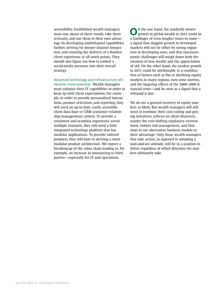accessibility. Established wealth managers must stay aware of these trends, take them seriously, and use them to their own advantage by developing multichannel capabilities further, striving for deeper channel integration, and ensuring the delivery of a flawless client experience at all touch points. They should also figure out how to embed a social-media presence into their overall strategy.

### Advanced technology and infrastructure will become more essential. Wealth managers

must enhance their IT capabilities in order to keep up with client expectations. For example, in order to provide personalized interactions, product selections, and reporting, they will need an up-to-date, easily accessible client data base or CRM (customer relationship management) system. To provide a consistent and seamless experience across multiple channels, they will need a fully integrated technology platform that has modular applications. To provide tailored products, they will have to develop a more modular product architecture. We expect a breaking-up of the value chain leading to, for example, an increase in outsourcing to third parties—especially for IT and operations.

**O**<sup>N</sup> the one hand, the markedly slower<br>growth in global wealth in 2011 could be a harbinger of even tougher times to come a signal that sluggish growth in developed markets will not be offset by strong expansion in developing ones, and that macroeconomic challenges will weigh down both the creation of new wealth and the appreciation of old. On the other hand, the modest growth in 2011 could be attributable to a combination of factors such as flat or declining equity markets in many regions, euro zone worries, and the lingering effects of the 2008–2009 financial crisis—and be seen as a signal that a rebound is due.

We do see a general recovery in equity markets as likely. But wealth managers will still need to continue their cost-cutting and pricing initiatives, refocus on client discovery, master the ever-shifting regulatory environment, bolster risk management, and find ways to use alternative business models to their advantage. Only those wealth managers that take action, as opposed to adopting a wait-and-see attitude, will be in a position to thrive regardless of which direction the markets ultimately take.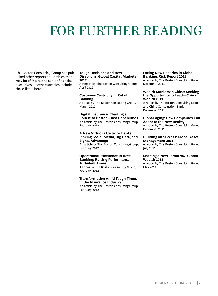# FOR FURTHER READING

The Boston Consulting Group has published other reports and articles that may be of interest to senior financial executives. Recent examples include those listed here.

#### **Tough Decisions and New Directions: Global Capital Markets 2012**

A Report by The Boston Consulting Group, April 2012

# **Customer-Centricity in Retail Banking**

A Focus by The Boston Consulting Group, March 2012

# **Digital Insurance: Charting a Course to Best-in-Class Capabilities** An article by The Boston Consulting Group,

February 2012

# **A New Virtuous Cycle for Banks: Linking Social Media, Big Data, and Signal Advantage**

An article by The Boston Consulting Group, February 2012

### **Operational Excellence in Retail Banking: Raising Performance in Turbulent Times**

A Focus by The Boston Consulting Group, February 2012

# **Transformation Amid Tough Times in the Insurance Industry**

An article by The Boston Consulting Group, February 2012

#### **Facing New Realities in Global Banking: Risk Report 2011**

A report by The Boston Consulting Group, December 2011

#### **Wealth Markets in China: Seeking the Opportunity to Lead—China Wealth 2011**

A report by The Boston Consulting Group and China Construction Bank, December 2011

# **Global Aging: How Companies Can Adapt to the New Reality**

A report by The Boston Consulting Group, December 2011

### **Building on Success: Global Asset Management 2011**

A report by The Boston Consulting Group, July 2011

# **Shaping a New Tomorrow: Global Wealth 2011**

A report by The Boston Consulting Group, May 2011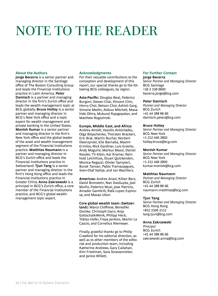# NOTE TO THE READER

# **About the Authors**

**Jorge Becerra** is a senior partner and managing director in the Santiago office of The Boston Consulting Group and leads the Financial Institutions practice in Latin America. **Peter Damisch** is a partner and managing director in the firm's Zurich office and leads the wealth management topic at BCG globally. **Bruce Holley** is a senior partner and managing director in BCG's New York office and a topic expert for wealth management and private banking in the United States. **Monish Kumar** is a senior partner and managing director in the firm's New York office and the global leader of the asset and wealth management segment of the Financial Institutions practice. **Matthias Naumann** is a partner and managing director in BCG's Zurich office and leads the Financial Institutions practice in Switzerland. **Tjun Tang** is a senior partner and managing director in the firm's Hong Kong office and leads the Financial Institutions practice in Greater China. **Anna Zakrzewski** is a principal in BCG's Zurich office, a core member of the Financial Institutions practice, and BCG's global wealthmanagement topic expert.

# **Acknowledgments**

For their valuable contributions to the conception and development of this report, our special thanks go to the following BCG colleagues, by region.

**Asia-Pacific:** Douglas Beal, Federico Burgoni, Steven Chai, Vincent Chin, Henry Choi, Nelson Choi, Ashish Garg, Simone Medin, Aldous Mitchell, Masahide Ohira, Mukund Rajagopalan, and Matthew Rogozinski.

# **Europe, Middle East, and Africa:**

Andrea Airoldi, Vassilis Antoniades, Olga Bilyachenko, Thorsten Brackert, Eric Brat, Martin Buchar, Norbert Dworzynski, Elie Barnaba, Maxim Ermilov, Nick Gardiner, Luis Gravito, Andy Maguire, Markus Massi, Daniel Kessler, Til Klein, Kai Kramer, Reinhold Leichtfuss, Stuart Quickenden, Monica Regazzi, Olivier Sampieri, Burak Tansan, Pablo Tramazaygues, Sven-Olaf Vathje, and Ian Wachters.

**Americas:** Andres Anavi, Kilian Berz, David Bronstein, Nan DasGupta, Joel Muñiz, Federico Muxi, Jose Patricio, Amador Gambrill, Rafa Lopez Espinosa, and Masao Ukon.

# **Core global wealth team (Switzer-**

**land):** Marco Cioffrese, Benedikt Domke, Christoph Ganz, Anja Gottschalk-Wenk, Philipp Heck, Tobias Hofer, Freya Jenkins, Martin Lo Cascio, and Cornelius Niemeyer.

Finally, grateful thanks go to Philip Crawford for his editorial direction, as well as to other members of the editorial and production team, including Katherine Andrews, Gary Callahan, Kim Friedman, Sara Strassenreiter, and Janice Willett.

# **For Further Contact**

**Jorge Becerra** *Senior Partner and Managing Director* BCG Santiago +56 2 338 9600 becerra.jorge@bcg.com

# **Peter Damisch**

*Partner and Managing Director* BCG Zurich +41 44 388 86 66 damisch.peter@bcg.com

# **Bruce Holley**

*Senior Partner and Managing Director* BCG New York +1 212 446 2800 holley.bruce@bcg.com

### **Monish Kumar**

*Senior Partner and Managing Director* BCG New York +1 212 446 2800 kumar.monish@bcg.com

### **Matthias Naumann**

*Partner and Managing Director* BCG Zurich +41 44 388 86 66 naumann.matthias@bcg.com

# **Tjun Tang**

*Senior Partner and Managing Director* BCG Hong Kong +852 2506 2111 tang.tjun@bcg.com

# **Anna Zakrzewski**

*Principal* BCG Zurich +41 44 388 86 66 zakrzewski.anna@bcg.com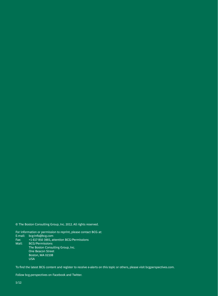© The Boston Consulting Group, Inc. 2012. All rights reserved.

For information or permission to reprint, please contact BCG at: E-mail: bcg-info@bcg.com Fax: +1 617 850 3901, attention BCG/Permissions Mail: BCG/Permissions The Boston Consulting Group, Inc. One Beacon Street Boston, MA 02108 **USA** 

To find the latest BCG content and register to receive e-alerts on this topic or others, please visit bcgperspectives.com.

Follow bcg.perspectives on Facebook and Twitter.